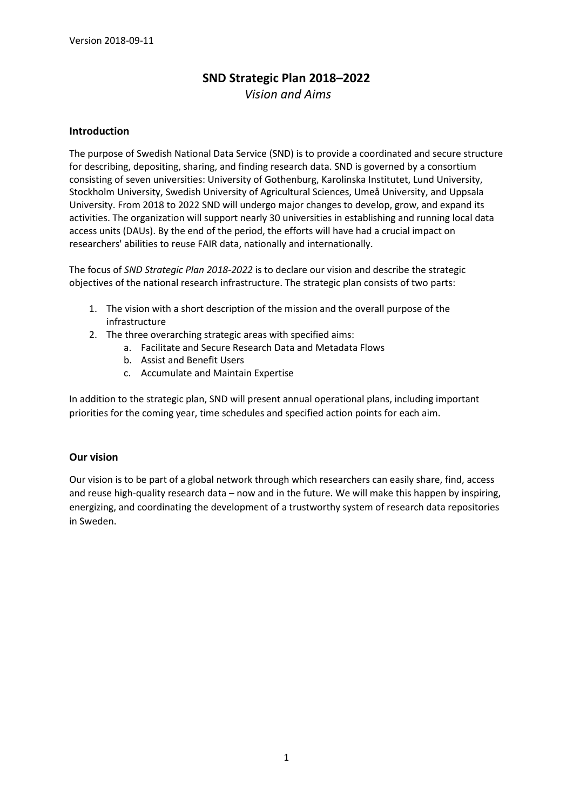# **SND Strategic Plan 2018–2022**

*Vision and Aims*

#### **Introduction**

The purpose of Swedish National Data Service (SND) is to provide a coordinated and secure structure for describing, depositing, sharing, and finding research data. SND is governed by a consortium consisting of seven universities: University of Gothenburg, Karolinska Institutet, Lund University, Stockholm University, Swedish University of Agricultural Sciences, Umeå University, and Uppsala University. From 2018 to 2022 SND will undergo major changes to develop, grow, and expand its activities. The organization will support nearly 30 universities in establishing and running local data access units (DAUs). By the end of the period, the efforts will have had a crucial impact on researchers' abilities to reuse FAIR data, nationally and internationally.

The focus of *SND Strategic Plan 2018-2022* is to declare our vision and describe the strategic objectives of the national research infrastructure. The strategic plan consists of two parts:

- 1. The vision with a short description of the mission and the overall purpose of the infrastructure
- 2. The three overarching strategic areas with specified aims:
	- a. Facilitate and Secure Research Data and Metadata Flows
	- b. Assist and Benefit Users
	- c. Accumulate and Maintain Expertise

In addition to the strategic plan, SND will present annual operational plans, including important priorities for the coming year, time schedules and specified action points for each aim.

#### **Our vision**

Our vision is to be part of a global network through which researchers can easily share, find, access and reuse high-quality research data – now and in the future. We will make this happen by inspiring, energizing, and coordinating the development of a trustworthy system of research data repositories in Sweden.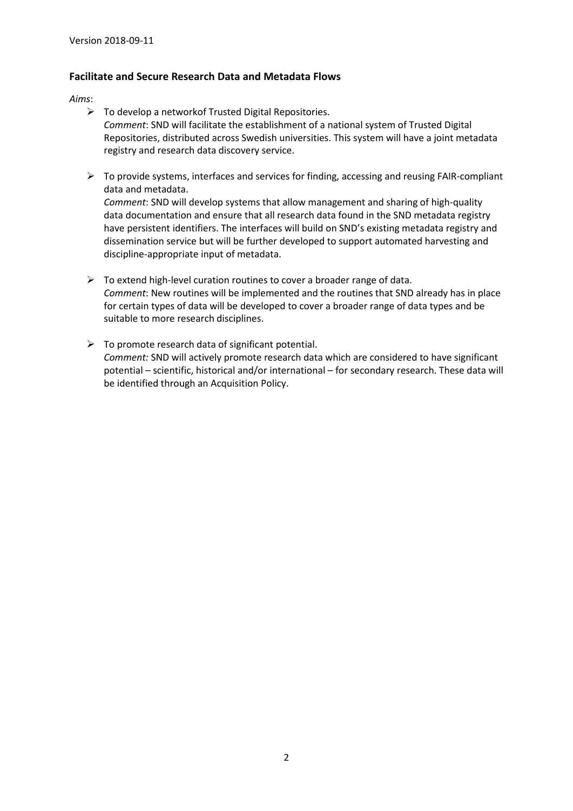### **Facilitate and Secure Research Data and Metadata Flows**

*Aims*:

- $\triangleright$  To develop a networkof Trusted Digital Repositories. *Comment*: SND will facilitate the establishment of a national system of Trusted Digital Repositories, distributed across Swedish universities. This system will have a joint metadata registry and research data discovery service.
- $\triangleright$  To provide systems, interfaces and services for finding, accessing and reusing FAIR-compliant data and metadata.

*Comment*: SND will develop systems that allow management and sharing of high-quality data documentation and ensure that all research data found in the SND metadata registry have persistent identifiers. The interfaces will build on SND's existing metadata registry and dissemination service but will be further developed to support automated harvesting and discipline-appropriate input of metadata.

- $\triangleright$  To extend high-level curation routines to cover a broader range of data. *Comment*: New routines will be implemented and the routines that SND already has in place for certain types of data will be developed to cover a broader range of data types and be suitable to more research disciplines.
- $\triangleright$  To promote research data of significant potential. *Comment:* SND will actively promote research data which are considered to have significant potential – scientific, historical and/or international – for secondary research. These data will be identified through an Acquisition Policy.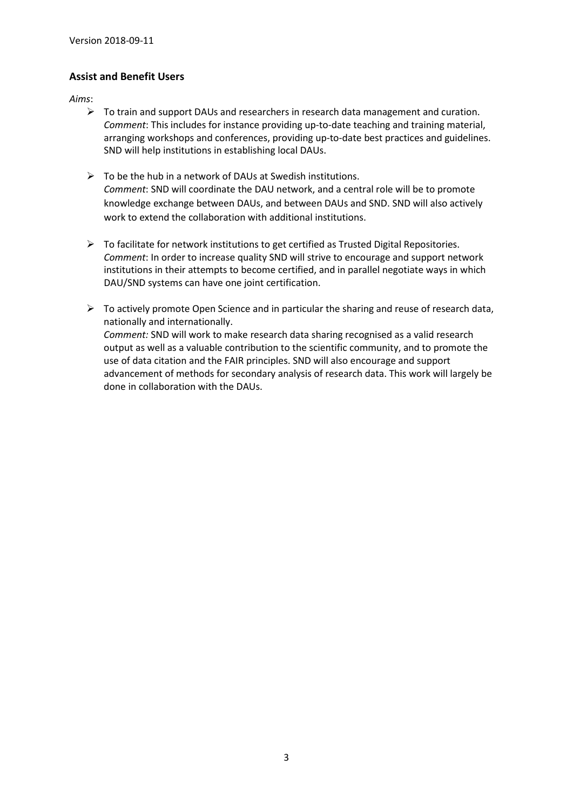## **Assist and Benefit Users**

*Aims*:

- $\triangleright$  To train and support DAUs and researchers in research data management and curation. *Comment*: This includes for instance providing up-to-date teaching and training material, arranging workshops and conferences, providing up-to-date best practices and guidelines. SND will help institutions in establishing local DAUs.
- $\triangleright$  To be the hub in a network of DAUs at Swedish institutions. *Comment*: SND will coordinate the DAU network, and a central role will be to promote knowledge exchange between DAUs, and between DAUs and SND. SND will also actively work to extend the collaboration with additional institutions.
- $\triangleright$  To facilitate for network institutions to get certified as Trusted Digital Repositories. *Comment*: In order to increase quality SND will strive to encourage and support network institutions in their attempts to become certified, and in parallel negotiate ways in which DAU/SND systems can have one joint certification.
- $\triangleright$  To actively promote Open Science and in particular the sharing and reuse of research data, nationally and internationally. *Comment:* SND will work to make research data sharing recognised as a valid research output as well as a valuable contribution to the scientific community, and to promote the use of data citation and the FAIR principles. SND will also encourage and support advancement of methods for secondary analysis of research data. This work will largely be done in collaboration with the DAUs.